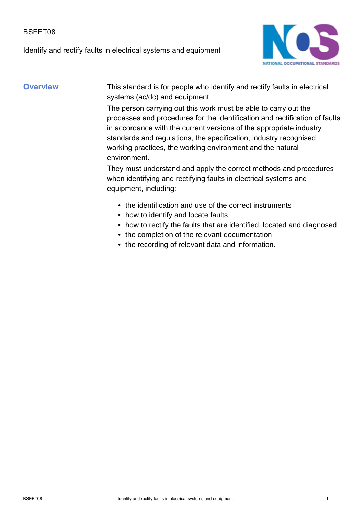Identify and rectify faults in electrical systems and equipment



**Overview** This standard is for people who identify and rectify faults in electrical systems (ac/dc) and equipment

> The person carrying out this work must be able to carry out the processes and procedures for the identification and rectification of faults in accordance with the current versions of the appropriate industry standards and regulations, the specification, industry recognised working practices, the working environment and the natural environment.

They must understand and apply the correct methods and procedures when identifying and rectifying faults in electrical systems and equipment, including:

- the identification and use of the correct instruments
- how to identify and locate faults
- how to rectify the faults that are identified, located and diagnosed
- the completion of the relevant documentation
- the recording of relevant data and information.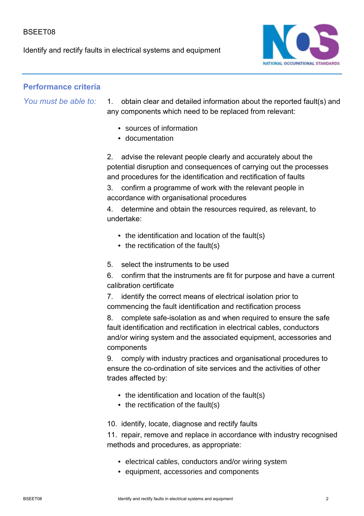Identify and rectify faults in electrical systems and equipment



# **Performance criteria**

*You must be able to:*

- 1. obtain clear and detailed information about the reported fault(s) and any components which need to be replaced from relevant:
	- sources of information
	- documentation

2. advise the relevant people clearly and accurately about the potential disruption and consequences of carrying out the processes and procedures for the identification and rectification of faults

3. confirm a programme of work with the relevant people in accordance with organisational procedures

4. determine and obtain the resources required, as relevant, to undertake:

- the identification and location of the fault(s)
- the rectification of the fault(s)
- 5. select the instruments to be used

6. confirm that the instruments are fit for purpose and have a current calibration certificate

7. identify the correct means of electrical isolation prior to commencing the fault identification and rectification process

8. complete safe-isolation as and when required to ensure the safe fault identification and rectification in electrical cables, conductors and/or wiring system and the associated equipment, accessories and components

9. comply with industry practices and organisational procedures to ensure the co-ordination of site services and the activities of other trades affected by:

- the identification and location of the fault(s)
- the rectification of the fault(s)

10. identify, locate, diagnose and rectify faults

11. repair, remove and replace in accordance with industry recognised methods and procedures, as appropriate:

- electrical cables, conductors and/or wiring system
- equipment, accessories and components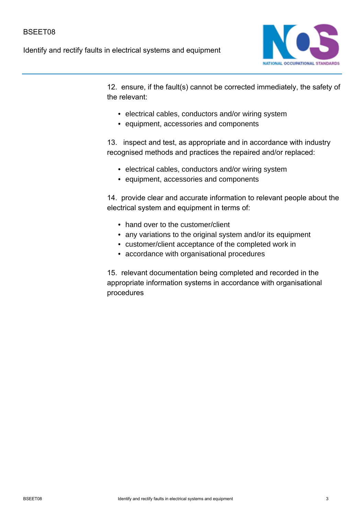Identify and rectify faults in electrical systems and equipment



12. ensure, if the fault(s) cannot be corrected immediately, the safety of the relevant:

- electrical cables, conductors and/or wiring system
- equipment, accessories and components

13. inspect and test, as appropriate and in accordance with industry recognised methods and practices the repaired and/or replaced:

- electrical cables, conductors and/or wiring system
- equipment, accessories and components

14. provide clear and accurate information to relevant people about the electrical system and equipment in terms of:

- hand over to the customer/client
- any variations to the original system and/or its equipment
- customer/client acceptance of the completed work in
- accordance with organisational procedures

15. relevant documentation being completed and recorded in the appropriate information systems in accordance with organisational procedures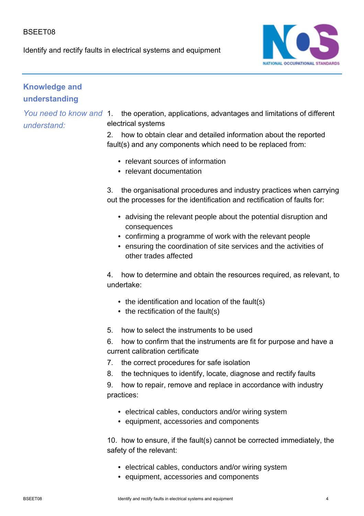Identify and rectify faults in electrical systems and equipment



# **Knowledge and understanding**

# *understand:*

You need to know and 1. the operation, applications, advantages and limitations of different electrical systems

> 2. how to obtain clear and detailed information about the reported fault(s) and any components which need to be replaced from:

- relevant sources of information
- relevant documentation

3. the organisational procedures and industry practices when carrying out the processes for the identification and rectification of faults for:

- advising the relevant people about the potential disruption and consequences
- confirming a programme of work with the relevant people
- ensuring the coordination of site services and the activities of other trades affected

4. how to determine and obtain the resources required, as relevant, to undertake:

- the identification and location of the fault(s)
- the rectification of the fault(s)
- 5. how to select the instruments to be used

6. how to confirm that the instruments are fit for purpose and have a current calibration certificate

- 7. the correct procedures for safe isolation
- 8. the techniques to identify, locate, diagnose and rectify faults

9. how to repair, remove and replace in accordance with industry practices:

- electrical cables, conductors and/or wiring system
- equipment, accessories and components

10. how to ensure, if the fault(s) cannot be corrected immediately, the safety of the relevant:

- electrical cables, conductors and/or wiring system
- equipment, accessories and components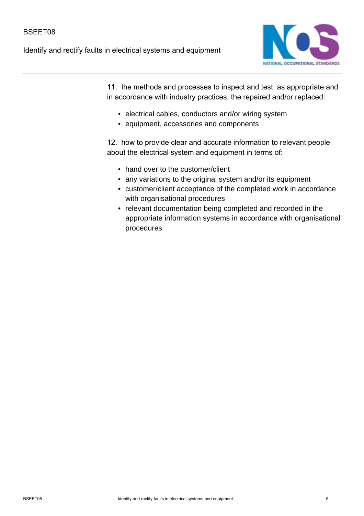Identify and rectify faults in electrical systems and equipment



11. the methods and processes to inspect and test, as appropriate and in accordance with industry practices, the repaired and/or replaced:

- electrical cables, conductors and/or wiring system
- equipment, accessories and components

12. how to provide clear and accurate information to relevant people about the electrical system and equipment in terms of:

- hand over to the customer/client
- any variations to the original system and/or its equipment
- customer/client acceptance of the completed work in accordance with organisational procedures
- relevant documentation being completed and recorded in the appropriate information systems in accordance with organisational procedures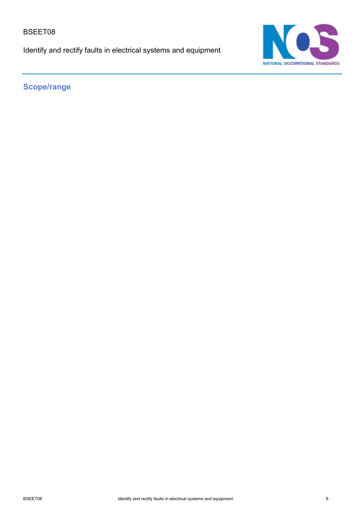Identify and rectify faults in electrical systems and equipment



**Scope/range**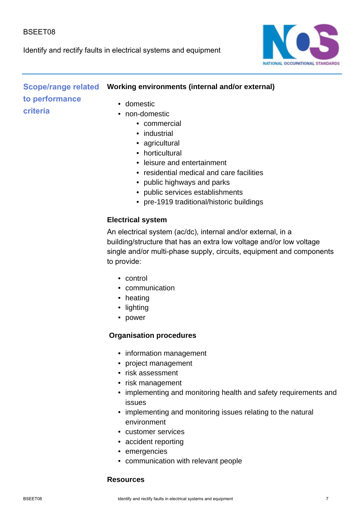Identify and rectify faults in electrical systems and equipment



# **Scope/range related Vorking environments (internal and/or external) to performance criteria**

- domestic
- non-domestic
	- commercial
	- industrial
	- agricultural
	- horticultural
	- leisure and entertainment
	- residential medical and care facilities
	- public highways and parks
	- public services establishments
	- pre-1919 traditional/historic buildings

# **Electrical system**

An electrical system (ac/dc), internal and/or external, in a building/structure that has an extra low voltage and/or low voltage single and/or multi-phase supply, circuits, equipment and components to provide:

- control
- communication
- heating
- lighting
- power

# **Organisation procedures**

- information management
- project management
- risk assessment
- risk management
- implementing and monitoring health and safety requirements and issues
- implementing and monitoring issues relating to the natural environment
- customer services
- accident reporting
- emergencies
- communication with relevant people

### **Resources**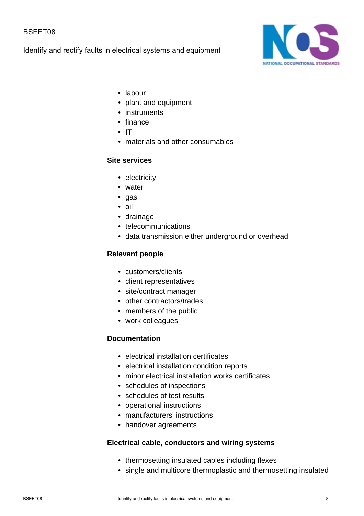Identify and rectify faults in electrical systems and equipment



- labour
- plant and equipment
- instruments
- finance
- IT
- materials and other consumables

# **Site services**

- electricity
- water
- gas
- oil
- drainage
- telecommunications
- data transmission either underground or overhead

# **Relevant people**

- customers/clients
- client representatives
- site/contract manager
- other contractors/trades
- members of the public
- work colleagues

# **Documentation**

- electrical installation certificates
- electrical installation condition reports
- minor electrical installation works certificates
- schedules of inspections
- schedules of test results
- operational instructions
- manufacturers' instructions
- handover agreements

# **Electrical cable, conductors and wiring systems**

- thermosetting insulated cables including flexes
- single and multicore thermoplastic and thermosetting insulated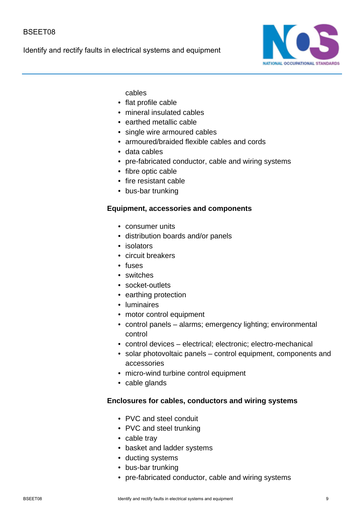Identify and rectify faults in electrical systems and equipment



cables

- flat profile cable
- mineral insulated cables
- earthed metallic cable
- single wire armoured cables
- armoured/braided flexible cables and cords
- data cables
- pre-fabricated conductor, cable and wiring systems
- fibre optic cable
- fire resistant cable
- bus-bar trunking

# **Equipment, accessories and components**

- consumer units
- distribution boards and/or panels
- isolators
- circuit breakers
- fuses
- switches
- socket-outlets
- earthing protection
- luminaires
- motor control equipment
- control panels alarms; emergency lighting; environmental control
- control devices electrical; electronic; electro-mechanical
- solar photovoltaic panels control equipment, components and accessories
- micro-wind turbine control equipment
- cable glands

### **Enclosures for cables, conductors and wiring systems**

- PVC and steel conduit
- PVC and steel trunking
- cable tray
- basket and ladder systems
- ducting systems
- bus-bar trunking
- pre-fabricated conductor, cable and wiring systems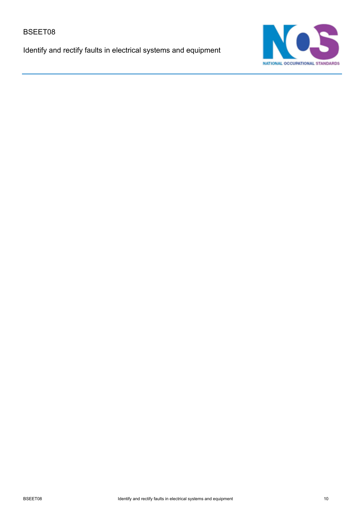Identify and rectify faults in electrical systems and equipment

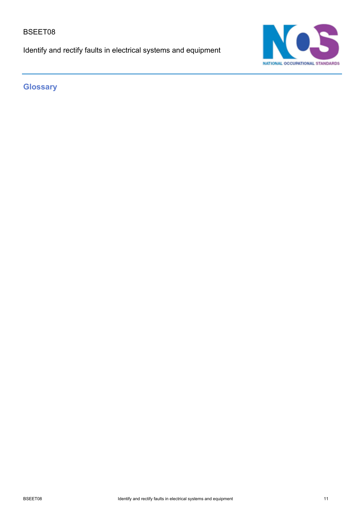Identify and rectify faults in electrical systems and equipment



**Glossary**